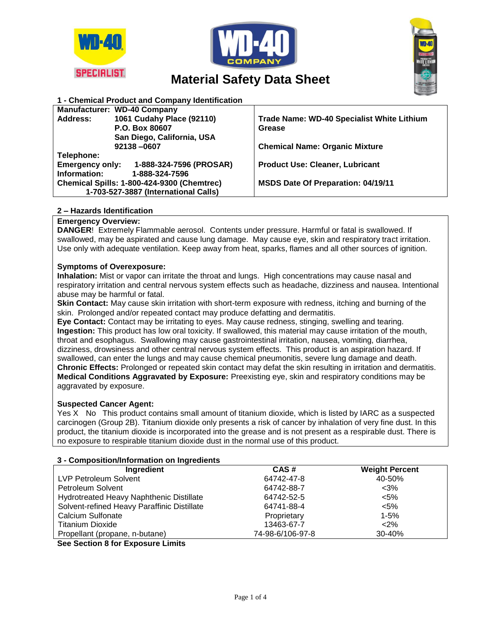





# **Material Safety Data Sheet**

# **1 - Chemical Product and Company Identification**

| <b>Manufacturer: WD-40 Company</b>                |                                                   |  |
|---------------------------------------------------|---------------------------------------------------|--|
| 1061 Cudahy Place (92110)<br>Address:             | <b>Trade Name: WD-40 Specialist White Lithium</b> |  |
| P.O. Box 80607                                    | Grease                                            |  |
| San Diego, California, USA                        |                                                   |  |
| 92138-0607                                        | <b>Chemical Name: Organic Mixture</b>             |  |
| Telephone:                                        |                                                   |  |
| 1-888-324-7596 (PROSAR)<br><b>Emergency only:</b> | <b>Product Use: Cleaner, Lubricant</b>            |  |
| Information:<br>1-888-324-7596                    |                                                   |  |
| Chemical Spills: 1-800-424-9300 (Chemtrec)        | <b>MSDS Date Of Preparation: 04/19/11</b>         |  |
| 1-703-527-3887 (International Calls)              |                                                   |  |
|                                                   |                                                   |  |

# **2 – Hazards Identification**

# **Emergency Overview:**

**DANGER**! Extremely Flammable aerosol. Contents under pressure. Harmful or fatal is swallowed. If swallowed, may be aspirated and cause lung damage. May cause eye, skin and respiratory tract irritation. Use only with adequate ventilation. Keep away from heat, sparks, flames and all other sources of ignition.

# **Symptoms of Overexposure:**

**Inhalation:** Mist or vapor can irritate the throat and lungs. High concentrations may cause nasal and respiratory irritation and central nervous system effects such as headache, dizziness and nausea. Intentional abuse may be harmful or fatal.

**Skin Contact:** May cause skin irritation with short-term exposure with redness, itching and burning of the skin. Prolonged and/or repeated contact may produce defatting and dermatitis.

**Eye Contact:** Contact may be irritating to eyes. May cause redness, stinging, swelling and tearing. **Ingestion:** This product has low oral toxicity. If swallowed, this material may cause irritation of the mouth, throat and esophagus. Swallowing may cause gastrointestinal irritation, nausea, vomiting, diarrhea, dizziness, drowsiness and other central nervous system effects. This product is an aspiration hazard. If swallowed, can enter the lungs and may cause chemical pneumonitis, severe lung damage and death. **Chronic Effects:** Prolonged or repeated skin contact may defat the skin resulting in irritation and dermatitis. **Medical Conditions Aggravated by Exposure:** Preexisting eye, skin and respiratory conditions may be aggravated by exposure.

#### **Suspected Cancer Agent:**

Yes X No This product contains small amount of titanium dioxide, which is listed by IARC as a suspected carcinogen (Group 2B). Titanium dioxide only presents a risk of cancer by inhalation of very fine dust. In this product, the titanium dioxide is incorporated into the grease and is not present as a respirable dust. There is no exposure to respirable titanium dioxide dust in the normal use of this product.

#### **3 - Composition/Information on Ingredients**

| Ingredient                                  | CAS#             | <b>Weight Percent</b> |
|---------------------------------------------|------------------|-----------------------|
| LVP Petroleum Solvent                       | 64742-47-8       | 40-50%                |
| <b>Petroleum Solvent</b>                    | 64742-88-7       | $<3\%$                |
| Hydrotreated Heavy Naphthenic Distillate    | 64742-52-5       | $< 5\%$               |
| Solvent-refined Heavy Paraffinic Distillate | 64741-88-4       | $< 5\%$               |
| Calcium Sulfonate                           | Proprietary      | $1 - 5%$              |
| <b>Titanium Dioxide</b>                     | 13463-67-7       | $<$ 2%                |
| Propellant (propane, n-butane)              | 74-98-6/106-97-8 | 30-40%                |
| <b>Ora Oration Ofen Francescor Linetty</b>  |                  |                       |

**See Section 8 for Exposure Limits**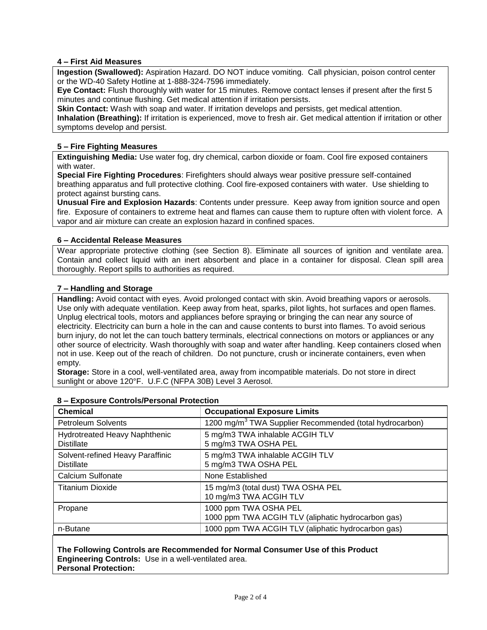# **4 – First Aid Measures**

**Ingestion (Swallowed):** Aspiration Hazard. DO NOT induce vomiting. Call physician, poison control center or the WD-40 Safety Hotline at 1-888-324-7596 immediately.

**Eye Contact:** Flush thoroughly with water for 15 minutes. Remove contact lenses if present after the first 5 minutes and continue flushing. Get medical attention if irritation persists.

**Skin Contact:** Wash with soap and water. If irritation develops and persists, get medical attention.

**Inhalation (Breathing):** If irritation is experienced, move to fresh air. Get medical attention if irritation or other symptoms develop and persist.

# **5 – Fire Fighting Measures**

**Extinguishing Media:** Use water fog, dry chemical, carbon dioxide or foam. Cool fire exposed containers with water.

**Special Fire Fighting Procedures**: Firefighters should always wear positive pressure self-contained breathing apparatus and full protective clothing. Cool fire-exposed containers with water. Use shielding to protect against bursting cans.

**Unusual Fire and Explosion Hazards**: Contents under pressure. Keep away from ignition source and open fire. Exposure of containers to extreme heat and flames can cause them to rupture often with violent force. A vapor and air mixture can create an explosion hazard in confined spaces.

# **6 – Accidental Release Measures**

Wear appropriate protective clothing (see Section 8). Eliminate all sources of ignition and ventilate area. Contain and collect liquid with an inert absorbent and place in a container for disposal. Clean spill area thoroughly. Report spills to authorities as required.

# **7 – Handling and Storage**

**Handling:** Avoid contact with eyes. Avoid prolonged contact with skin. Avoid breathing vapors or aerosols. Use only with adequate ventilation. Keep away from heat, sparks, pilot lights, hot surfaces and open flames. Unplug electrical tools, motors and appliances before spraying or bringing the can near any source of electricity. Electricity can burn a hole in the can and cause contents to burst into flames. To avoid serious burn injury, do not let the can touch battery terminals, electrical connections on motors or appliances or any other source of electricity. Wash thoroughly with soap and water after handling. Keep containers closed when not in use. Keep out of the reach of children. Do not puncture, crush or incinerate containers, even when empty.

**Storage:** Store in a cool, well-ventilated area, away from incompatible materials. Do not store in direct sunlight or above 120°F. U.F.C (NFPA 30B) Level 3 Aerosol.

| <b>Chemical</b>                                       | <b>Occupational Exposure Limits</b>                                         |  |  |
|-------------------------------------------------------|-----------------------------------------------------------------------------|--|--|
| <b>Petroleum Solvents</b>                             | 1200 mg/m <sup>3</sup> TWA Supplier Recommended (total hydrocarbon)         |  |  |
| Hydrotreated Heavy Naphthenic<br><b>Distillate</b>    | 5 mg/m3 TWA inhalable ACGIH TLV<br>5 mg/m3 TWA OSHA PEL                     |  |  |
| Solvent-refined Heavy Paraffinic<br><b>Distillate</b> | 5 mg/m3 TWA inhalable ACGIH TLV<br>5 mg/m3 TWA OSHA PEL                     |  |  |
| <b>Calcium Sulfonate</b>                              | None Established                                                            |  |  |
| <b>Titanium Dioxide</b>                               | 15 mg/m3 (total dust) TWA OSHA PEL<br>10 mg/m3 TWA ACGIH TLV                |  |  |
| Propane                                               | 1000 ppm TWA OSHA PEL<br>1000 ppm TWA ACGIH TLV (aliphatic hydrocarbon gas) |  |  |
| n-Butane                                              | 1000 ppm TWA ACGIH TLV (aliphatic hydrocarbon gas)                          |  |  |

# **8 – Exposure Controls/Personal Protection**

#### **The Following Controls are Recommended for Normal Consumer Use of this Product Engineering Controls:** Use in a well-ventilated area. **Personal Protection:**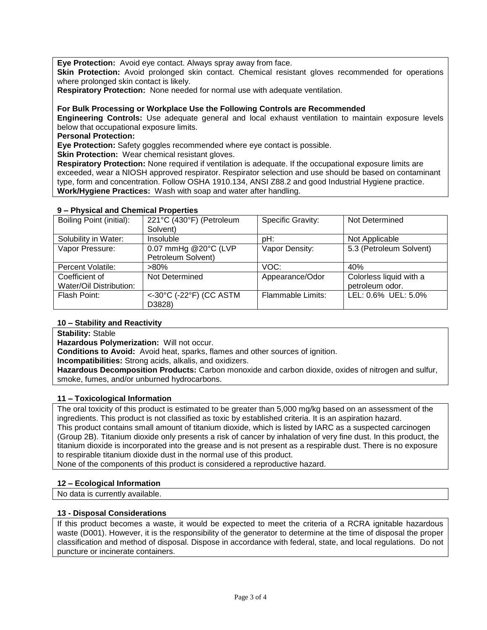**Eye Protection:** Avoid eye contact. Always spray away from face.

**Skin Protection:** Avoid prolonged skin contact. Chemical resistant gloves recommended for operations where prolonged skin contact is likely.

**Respiratory Protection:** None needed for normal use with adequate ventilation.

#### **For Bulk Processing or Workplace Use the Following Controls are Recommended**

**Engineering Controls:** Use adequate general and local exhaust ventilation to maintain exposure levels below that occupational exposure limits.

**Personal Protection:**

**Eye Protection:** Safety goggles recommended where eye contact is possible.

**Skin Protection:** Wear chemical resistant gloves.

**Respiratory Protection:** None required if ventilation is adequate. If the occupational exposure limits are exceeded, wear a NIOSH approved respirator. Respirator selection and use should be based on contaminant type, form and concentration. Follow OSHA 1910.134, ANSI Z88.2 and good Industrial Hygiene practice. **Work/Hygiene Practices:** Wash with soap and water after handling.

#### **9 – Physical and Chemical Properties**

| Boiling Point (initial): | 221°C (430°F) (Petroleum | Specific Gravity:        | Not Determined          |
|--------------------------|--------------------------|--------------------------|-------------------------|
|                          | Solvent)                 |                          |                         |
| Solubility in Water:     | Insoluble                | pH:                      | Not Applicable          |
| Vapor Pressure:          | 0.07 mmHg @20°C (LVP     | Vapor Density:           | 5.3 (Petroleum Solvent) |
|                          | Petroleum Solvent)       |                          |                         |
| Percent Volatile:        | $>80\%$                  | VOC:                     | 40%                     |
| Coefficient of           | Not Determined           | Appearance/Odor          | Colorless liquid with a |
| Water/Oil Distribution:  |                          |                          | petroleum odor.         |
| Flash Point:             | <-30°C (-22°F) (CC ASTM  | <b>Flammable Limits:</b> | LEL: 0.6% UEL: 5.0%     |
|                          | D3828)                   |                          |                         |

### **10 – Stability and Reactivity**

**Stability:** Stable

**Hazardous Polymerization:** Will not occur.

**Conditions to Avoid:** Avoid heat, sparks, flames and other sources of ignition.

**Incompatibilities:** Strong acids, alkalis, and oxidizers.

**Hazardous Decomposition Products:** Carbon monoxide and carbon dioxide, oxides of nitrogen and sulfur, smoke, fumes, and/or unburned hydrocarbons.

#### **11 – Toxicological Information**

The oral toxicity of this product is estimated to be greater than 5,000 mg/kg based on an assessment of the ingredients. This product is not classified as toxic by established criteria. It is an aspiration hazard. This product contains small amount of titanium dioxide, which is listed by IARC as a suspected carcinogen (Group 2B). Titanium dioxide only presents a risk of cancer by inhalation of very fine dust. In this product, the titanium dioxide is incorporated into the grease and is not present as a respirable dust. There is no exposure to respirable titanium dioxide dust in the normal use of this product.

None of the components of this product is considered a reproductive hazard.

#### **12 – Ecological Information**

No data is currently available.

#### **13 - Disposal Considerations**

If this product becomes a waste, it would be expected to meet the criteria of a RCRA ignitable hazardous waste (D001). However, it is the responsibility of the generator to determine at the time of disposal the proper classification and method of disposal. Dispose in accordance with federal, state, and local regulations. Do not puncture or incinerate containers.